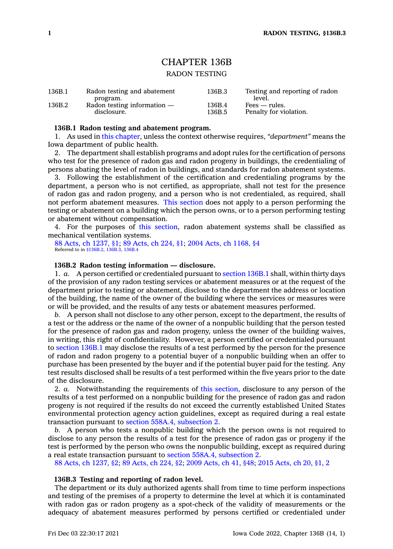# CHAPTER 136B

# RADON TESTING

### **136B.1 Radon testing and abatement program.**

1. As used in this [chapter](https://www.legis.iowa.gov/docs/code//136B.pdf), unless the context otherwise requires, *"department"* means the Iowa department of public health.

2. The department shall establish programs and adopt rules for the certification of persons who test for the presence of radon gas and radon progeny in buildings, the credentialing of persons abating the level of radon in buildings, and standards for radon abatement systems.

3. Following the establishment of the certification and credentialing programs by the department, <sup>a</sup> person who is not certified, as appropriate, shall not test for the presence of radon gas and radon progeny, and <sup>a</sup> person who is not credentialed, as required, shall not perform abatement measures. This [section](https://www.legis.iowa.gov/docs/code/136B.1.pdf) does not apply to <sup>a</sup> person performing the testing or abatement on <sup>a</sup> building which the person owns, or to <sup>a</sup> person performing testing or abatement without compensation.

4. For the purposes of this [section](https://www.legis.iowa.gov/docs/code/136B.1.pdf), radon abatement systems shall be classified as mechanical ventilation systems.

88 Acts, ch [1237,](https://www.legis.iowa.gov/docs/acts/1988/CH1237.pdf) §1; 89 [Acts,](https://www.legis.iowa.gov/docs/acts/1989/CH0224.pdf) ch 224, §1; 2004 Acts, ch [1168,](https://www.legis.iowa.gov/docs/acts/2004/CH1168.pdf) §4 Referred to in [§136B.2](https://www.legis.iowa.gov/docs/code/136B.2.pdf), [136B.3](https://www.legis.iowa.gov/docs/code/136B.3.pdf), [136B.4](https://www.legis.iowa.gov/docs/code/136B.4.pdf)

## **136B.2 Radon testing information — disclosure.**

1. *a.* A person certified or credentialed pursuant to [section](https://www.legis.iowa.gov/docs/code/136B.1.pdf) 136B.1 shall, within thirty days of the provision of any radon testing services or abatement measures or at the request of the department prior to testing or abatement, disclose to the department the address or location of the building, the name of the owner of the building where the services or measures were or will be provided, and the results of any tests or abatement measures performed.

*b.* A person shall not disclose to any other person, except to the department, the results of <sup>a</sup> test or the address or the name of the owner of <sup>a</sup> nonpublic building that the person tested for the presence of radon gas and radon progeny, unless the owner of the building waives, in writing, this right of confidentiality. However, <sup>a</sup> person certified or credentialed pursuant to [section](https://www.legis.iowa.gov/docs/code/136B.1.pdf) 136B.1 may disclose the results of <sup>a</sup> test performed by the person for the presence of radon and radon progeny to <sup>a</sup> potential buyer of <sup>a</sup> nonpublic building when an offer to purchase has been presented by the buyer and if the potential buyer paid for the testing. Any test results disclosed shall be results of <sup>a</sup> test performed within the five years prior to the date of the disclosure.

2. *a.* Notwithstanding the requirements of this [section](https://www.legis.iowa.gov/docs/code/136B.2.pdf), disclosure to any person of the results of <sup>a</sup> test performed on <sup>a</sup> nonpublic building for the presence of radon gas and radon progeny is not required if the results do not exceed the currently established United States environmental protection agency action guidelines, except as required during <sup>a</sup> real estate transaction pursuant to section 558A.4, [subsection](https://www.legis.iowa.gov/docs/code/558A.4.pdf) 2.

*b.* A person who tests <sup>a</sup> nonpublic building which the person owns is not required to disclose to any person the results of <sup>a</sup> test for the presence of radon gas or progeny if the test is performed by the person who owns the nonpublic building, except as required during <sup>a</sup> real estate transaction pursuant to section 558A.4, [subsection](https://www.legis.iowa.gov/docs/code/558A.4.pdf) 2.

88 Acts, ch [1237,](https://www.legis.iowa.gov/docs/acts/1988/CH1237.pdf) §2; 89 [Acts,](https://www.legis.iowa.gov/docs/acts/89/CH0224.pdf) ch 224, §2; 2009 [Acts,](https://www.legis.iowa.gov/docs/acts/2009/CH0041.pdf) ch 41, §48; 2015 [Acts,](https://www.legis.iowa.gov/docs/acts/2015/CH0020.pdf) ch 20, §1, 2

#### **136B.3 Testing and reporting of radon level.**

The department or its duly authorized agents shall from time to time perform inspections and testing of the premises of <sup>a</sup> property to determine the level at which it is contaminated with radon gas or radon progeny as <sup>a</sup> spot-check of the validity of measurements or the adequacy of abatement measures performed by persons certified or credentialed under